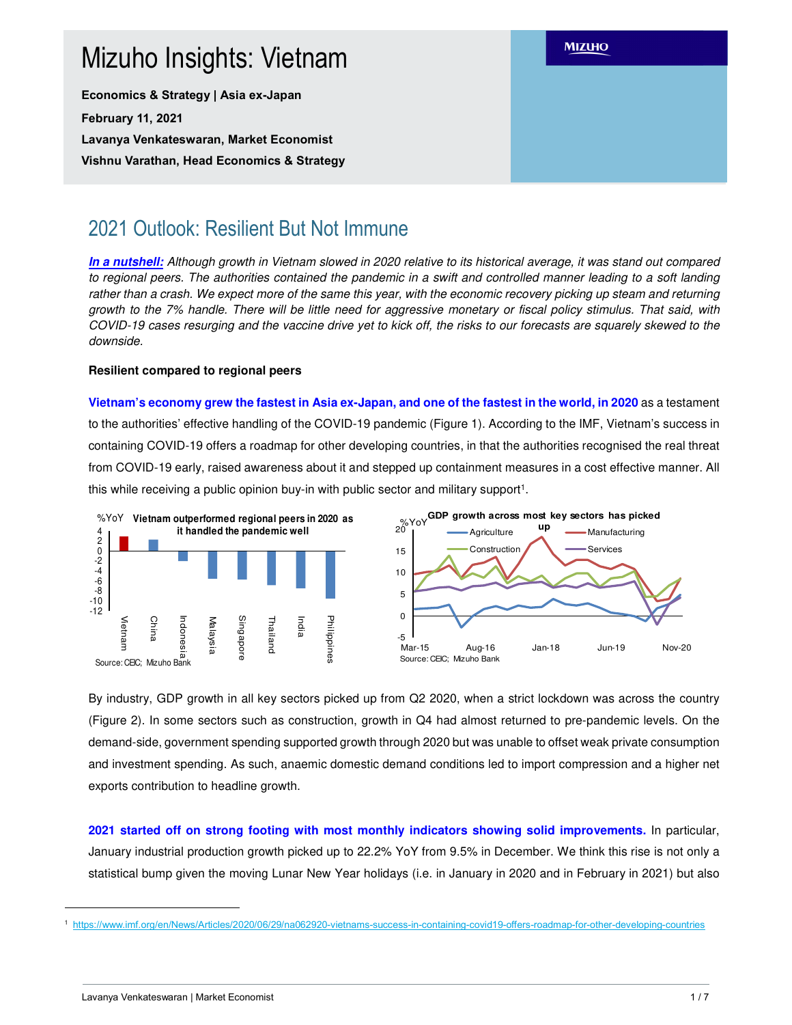# **MIZUHO** Mizuho Insights: Vietnam **Economics & Strategy | Asia ex-Japan February 11, 2021 Lavanya Venkateswaran, Market Economist Vishnu Varathan, Head Economics & Strategy**

## 2021 Outlook: Resilient But Not Immune

**In a nutshell:** Although growth in Vietnam slowed in 2020 relative to its historical average, it was stand out compared to regional peers. The authorities contained the pandemic in a swift and controlled manner leading to a soft landing rather than a crash. We expect more of the same this year, with the economic recovery picking up steam and returning growth to the 7% handle. There will be little need for aggressive monetary or fiscal policy stimulus. That said, with COVID-19 cases resurging and the vaccine drive yet to kick off, the risks to our forecasts are squarely skewed to the downside.

## **Resilient compared to regional peers**

**Vietnam's economy grew the fastest in Asia ex-Japan, and one of the fastest in the world, in 2020** as a testament to the authorities' effective handling of the COVID-19 pandemic (Figure 1). According to the IMF, Vietnam's success in containing COVID-19 offers a roadmap for other developing countries, in that the authorities recognised the real threat from COVID-19 early, raised awareness about it and stepped up containment measures in a cost effective manner. All this while receiving a public opinion buy-in with public sector and military support<sup>1</sup>.



By industry, GDP growth in all key sectors picked up from Q2 2020, when a strict lockdown was across the country (Figure 2). In some sectors such as construction, growth in Q4 had almost returned to pre-pandemic levels. On the demand-side, government spending supported growth through 2020 but was unable to offset weak private consumption and investment spending. As such, anaemic domestic demand conditions led to import compression and a higher net exports contribution to headline growth.

**2021 started off on strong footing with most monthly indicators showing solid improvements.** In particular, January industrial production growth picked up to 22.2% YoY from 9.5% in December. We think this rise is not only a statistical bump given the moving Lunar New Year holidays (i.e. in January in 2020 and in February in 2021) but also

L

<sup>1</sup> https://www.imf.org/en/News/Articles/2020/06/29/na062920-vietnams-success-in-containing-covid19-offers-roadmap-for-other-developing-countries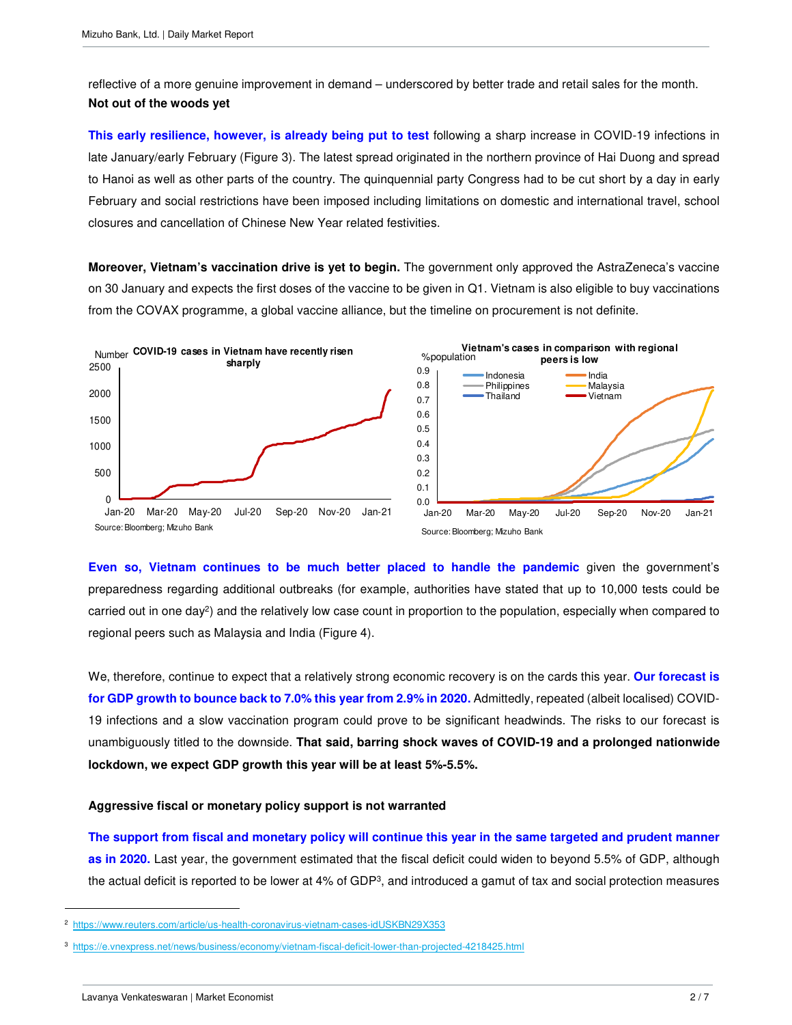reflective of a more genuine improvement in demand – underscored by better trade and retail sales for the month. **Not out of the woods yet** 

**This early resilience, however, is already being put to test** following a sharp increase in COVID-19 infections in late January/early February (Figure 3). The latest spread originated in the northern province of Hai Duong and spread to Hanoi as well as other parts of the country. The quinquennial party Congress had to be cut short by a day in early February and social restrictions have been imposed including limitations on domestic and international travel, school closures and cancellation of Chinese New Year related festivities.

**Moreover, Vietnam's vaccination drive is yet to begin.** The government only approved the AstraZeneca's vaccine on 30 January and expects the first doses of the vaccine to be given in Q1. Vietnam is also eligible to buy vaccinations from the COVAX programme, a global vaccine alliance, but the timeline on procurement is not definite.



**Even so, Vietnam continues to be much better placed to handle the pandemic** given the government's preparedness regarding additional outbreaks (for example, authorities have stated that up to 10,000 tests could be carried out in one day<sup>2</sup>) and the relatively low case count in proportion to the population, especially when compared to regional peers such as Malaysia and India (Figure 4).

We, therefore, continue to expect that a relatively strong economic recovery is on the cards this year. **Our forecast is for GDP growth to bounce back to 7.0% this year from 2.9% in 2020.** Admittedly, repeated (albeit localised) COVID-19 infections and a slow vaccination program could prove to be significant headwinds. The risks to our forecast is unambiguously titled to the downside. **That said, barring shock waves of COVID-19 and a prolonged nationwide lockdown, we expect GDP growth this year will be at least 5%-5.5%.**

#### **Aggressive fiscal or monetary policy support is not warranted**

**The support from fiscal and monetary policy will continue this year in the same targeted and prudent manner as in 2020.** Last year, the government estimated that the fiscal deficit could widen to beyond 5.5% of GDP, although the actual deficit is reported to be lower at 4% of GDP<sup>3</sup>, and introduced a gamut of tax and social protection measures

 $\overline{a}$ 

https://www.reuters.com/article/us-health-coronavirus-vietnam-cases-idUSKBN29X353

<sup>3</sup> https://e.vnexpress.net/news/business/economy/vietnam-fiscal-deficit-lower-than-projected-4218425.html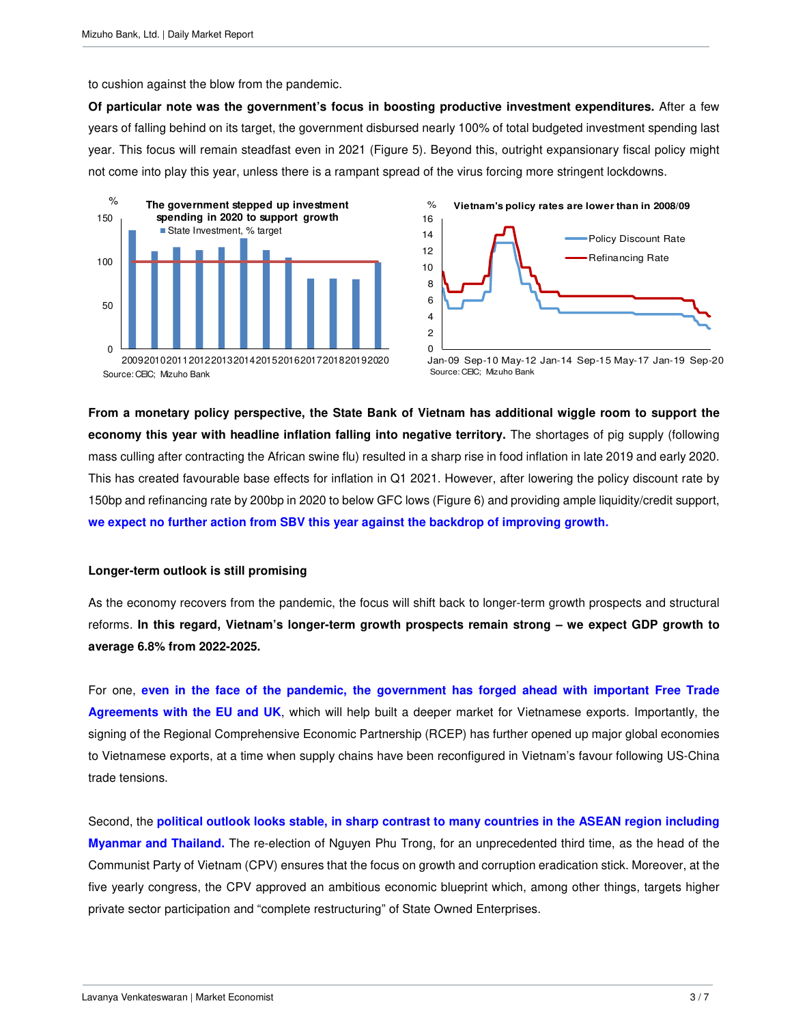to cushion against the blow from the pandemic.

**Of particular note was the government's focus in boosting productive investment expenditures.** After a few years of falling behind on its target, the government disbursed nearly 100% of total budgeted investment spending last year. This focus will remain steadfast even in 2021 (Figure 5). Beyond this, outright expansionary fiscal policy might not come into play this year, unless there is a rampant spread of the virus forcing more stringent lockdowns.





Jan-09 Sep-10 May-12 Jan-14 Sep-15 May-17 Jan-19 Sep-20 Source: CEIC; Mizuho Bank

**From a monetary policy perspective, the State Bank of Vietnam has additional wiggle room to support the economy this year with headline inflation falling into negative territory.** The shortages of pig supply (following mass culling after contracting the African swine flu) resulted in a sharp rise in food inflation in late 2019 and early 2020. This has created favourable base effects for inflation in Q1 2021. However, after lowering the policy discount rate by 150bp and refinancing rate by 200bp in 2020 to below GFC lows (Figure 6) and providing ample liquidity/credit support, **we expect no further action from SBV this year against the backdrop of improving growth.** 

#### **Longer-term outlook is still promising**

As the economy recovers from the pandemic, the focus will shift back to longer-term growth prospects and structural reforms. **In this regard, Vietnam's longer-term growth prospects remain strong – we expect GDP growth to average 6.8% from 2022-2025.**

For one, **even in the face of the pandemic, the government has forged ahead with important Free Trade Agreements with the EU and UK**, which will help built a deeper market for Vietnamese exports. Importantly, the signing of the Regional Comprehensive Economic Partnership (RCEP) has further opened up major global economies to Vietnamese exports, at a time when supply chains have been reconfigured in Vietnam's favour following US-China trade tensions.

Second, the **political outlook looks stable, in sharp contrast to many countries in the ASEAN region including Myanmar and Thailand.** The re-election of Nguyen Phu Trong, for an unprecedented third time, as the head of the Communist Party of Vietnam (CPV) ensures that the focus on growth and corruption eradication stick. Moreover, at the five yearly congress, the CPV approved an ambitious economic blueprint which, among other things, targets higher private sector participation and "complete restructuring" of State Owned Enterprises.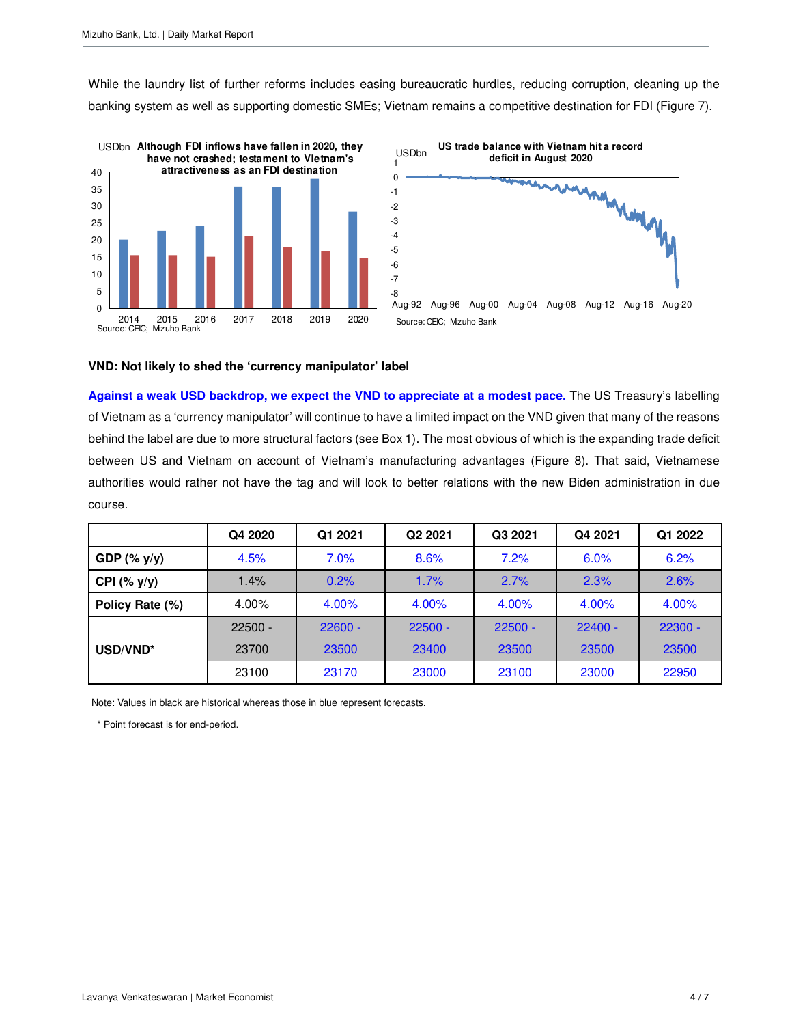While the laundry list of further reforms includes easing bureaucratic hurdles, reducing corruption, cleaning up the banking system as well as supporting domestic SMEs; Vietnam remains a competitive destination for FDI (Figure 7).





#### **VND: Not likely to shed the 'currency manipulator' label**

**Against a weak USD backdrop, we expect the VND to appreciate at a modest pace.** The US Treasury's labelling of Vietnam as a 'currency manipulator' will continue to have a limited impact on the VND given that many of the reasons behind the label are due to more structural factors (see Box 1). The most obvious of which is the expanding trade deficit between US and Vietnam on account of Vietnam's manufacturing advantages (Figure 8). That said, Vietnamese authorities would rather not have the tag and will look to better relations with the new Biden administration in due course.

|                  | Q4 2020   | Q1 2021   | Q <sub>2</sub> 20 <sub>21</sub> | Q3 2021   | Q4 2021   | Q1 2022   |
|------------------|-----------|-----------|---------------------------------|-----------|-----------|-----------|
| GDP $(\%$ y/y)   | 4.5%      | 7.0%      | 8.6%                            | 7.2%      | 6.0%      | 6.2%      |
| CPI $(%$ (% y/y) | 1.4%      | 0.2%      | 1.7%                            | 2.7%      | 2.3%      | 2.6%      |
| Policy Rate (%)  | 4.00%     | 4.00%     | 4.00%                           | 4.00%     | 4.00%     | 4.00%     |
|                  | $22500 -$ | $22600 -$ | $22500 -$                       | $22500 -$ | $22400 -$ | $22300 -$ |
| USD/VND*         | 23700     | 23500     | 23400                           | 23500     | 23500     | 23500     |
|                  | 23100     | 23170     | 23000                           | 23100     | 23000     | 22950     |

Note: Values in black are historical whereas those in blue represent forecasts.

\* Point forecast is for end-period.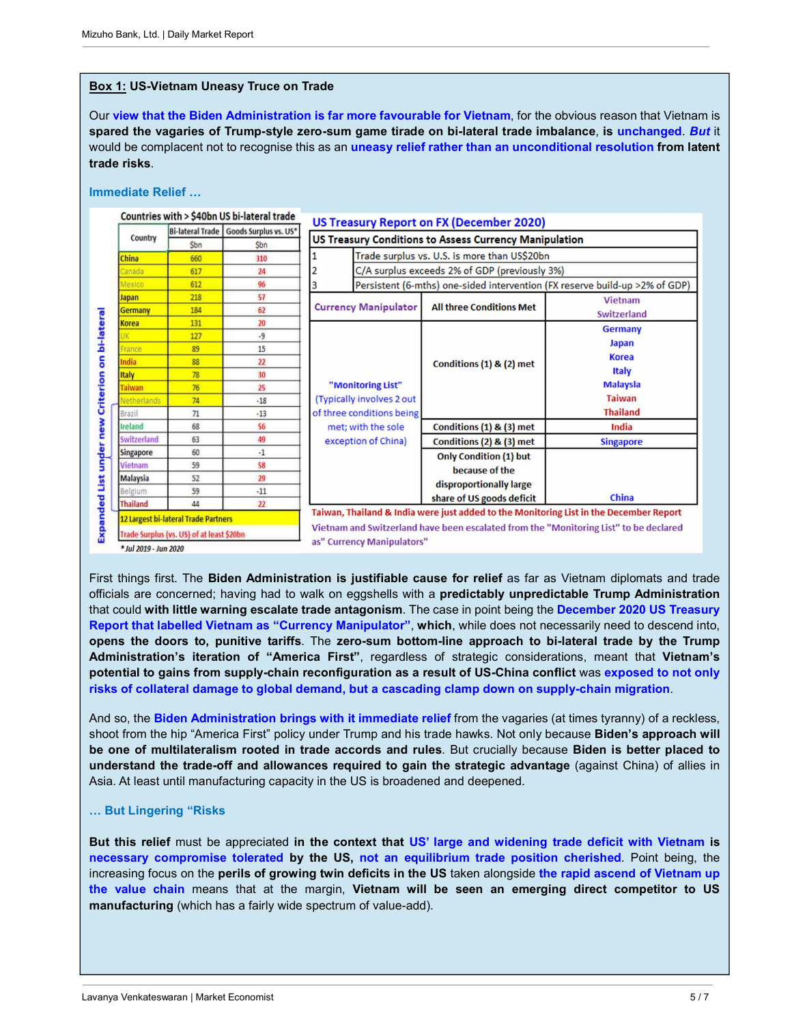#### **Box 1: US-Vietnam Uneasy Truce on Trade**

Our **view that the Biden Administration is far more favourable for Vietnam**, for the obvious reason that Vietnam is **spared the vagaries of Trump-style zero-sum game tirade on bi-lateral trade imbalance**, **is unchanged**. *But* it would be complacent not to recognise this as an **uneasy relief rather than an unconditional resolution from latent trade risks**.

#### **Immediate Relief …**



First things first. The **Biden Administration is justifiable cause for relief** as far as Vietnam diplomats and trade officials are concerned; having had to walk on eggshells with a **predictably unpredictable Trump Administration** that could **with little warning escalate trade antagonism**. The case in point being the **December 2020 US Treasury Report that labelled Vietnam as "Currency Manipulator"**, **which**, while does not necessarily need to descend into, **opens the doors to, punitive tariffs**. The **zero-sum bottom-line approach to bi-lateral trade by the Trump Administration's iteration of "America First"**, regardless of strategic considerations, meant that **Vietnam's potential to gains from supply-chain reconfiguration as a result of US-China conflict** was **exposed to not only risks of collateral damage to global demand, but a cascading clamp down on supply-chain migration**.

And so, the **Biden Administration brings with it immediate relief** from the vagaries (at times tyranny) of a reckless, shoot from the hip "America First" policy under Trump and his trade hawks. Not only because **Biden's approach will be one of multilateralism rooted in trade accords and rules**. But crucially because **Biden is better placed to understand the trade-off and allowances required to gain the strategic advantage** (against China) of allies in Asia. At least until manufacturing capacity in the US is broadened and deepened.

## **… But Lingering "Risks**

**But this relief** must be appreciated **in the context that US' large and widening trade deficit with Vietnam is necessary compromise tolerated by the US, not an equilibrium trade position cherished**. Point being, the increasing focus on the **perils of growing twin deficits in the US** taken alongside **the rapid ascend of Vietnam up the value chain** means that at the margin, **Vietnam will be seen an emerging direct competitor to US manufacturing** (which has a fairly wide spectrum of value-add).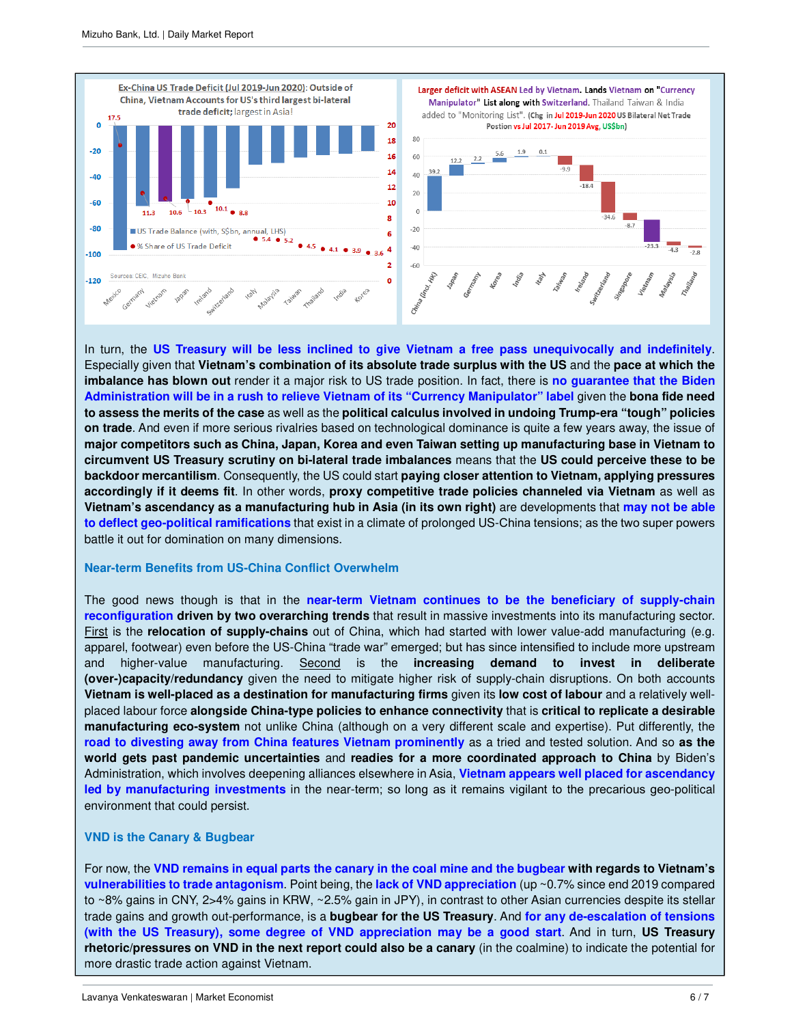

In turn, the **US Treasury will be less inclined to give Vietnam a free pass unequivocally and indefinitely**. Especially given that **Vietnam's combination of its absolute trade surplus with the US** and the **pace at which the imbalance has blown out** render it a major risk to US trade position. In fact, there is **no guarantee that the Biden Administration will be in a rush to relieve Vietnam of its "Currency Manipulator" label** given the **bona fide need to assess the merits of the case** as well as the **political calculus involved in undoing Trump-era "tough" policies on trade**. And even if more serious rivalries based on technological dominance is quite a few years away, the issue of **major competitors such as China, Japan, Korea and even Taiwan setting up manufacturing base in Vietnam to circumvent US Treasury scrutiny on bi-lateral trade imbalances** means that the **US could perceive these to be backdoor mercantilism**. Consequently, the US could start **paying closer attention to Vietnam, applying pressures accordingly if it deems fit**. In other words, **proxy competitive trade policies channeled via Vietnam** as well as **Vietnam's ascendancy as a manufacturing hub in Asia (in its own right)** are developments that **may not be able to deflect geo-political ramifications** that exist in a climate of prolonged US-China tensions; as the two super powers battle it out for domination on many dimensions.

#### **Near-term Benefits from US-China Conflict Overwhelm**

The good news though is that in the **near-term Vietnam continues to be the beneficiary of supply-chain reconfiguration driven by two overarching trends** that result in massive investments into its manufacturing sector. First is the **relocation of supply-chains** out of China, which had started with lower value-add manufacturing (e.g. apparel, footwear) even before the US-China "trade war" emerged; but has since intensified to include more upstream and higher-value manufacturing. Second is the **increasing demand to invest in deliberate (over-)capacity/redundancy** given the need to mitigate higher risk of supply-chain disruptions. On both accounts **Vietnam is well-placed as a destination for manufacturing firms** given its **low cost of labour** and a relatively wellplaced labour force **alongside China-type policies to enhance connectivity** that is **critical to replicate a desirable manufacturing eco-system** not unlike China (although on a very different scale and expertise). Put differently, the **road to divesting away from China features Vietnam prominently** as a tried and tested solution. And so **as the world gets past pandemic uncertainties** and **readies for a more coordinated approach to China** by Biden's Administration, which involves deepening alliances elsewhere in Asia, **Vietnam appears well placed for ascendancy led by manufacturing investments** in the near-term; so long as it remains vigilant to the precarious geo-political environment that could persist.

#### **VND is the Canary & Bugbear**

For now, the **VND remains in equal parts the canary in the coal mine and the bugbear with regards to Vietnam's vulnerabilities to trade antagonism**. Point being, the **lack of VND appreciation** (up ~0.7% since end 2019 compared to ~8% gains in CNY, 2>4% gains in KRW, ~2.5% gain in JPY), in contrast to other Asian currencies despite its stellar trade gains and growth out-performance, is a **bugbear for the US Treasury**. And **for any de-escalation of tensions (with the US Treasury), some degree of VND appreciation may be a good start**. And in turn, **US Treasury rhetoric/pressures on VND in the next report could also be a canary** (in the coalmine) to indicate the potential for more drastic trade action against Vietnam.